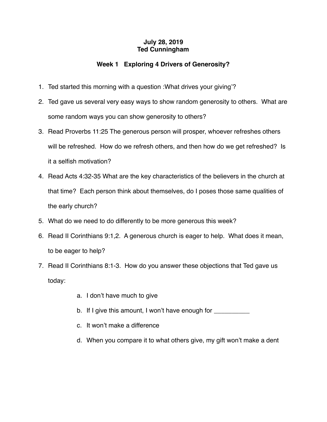## **July 28, 2019 Ted Cunningham**

## **Week 1 Exploring 4 Drivers of Generosity?**

- 1. Ted started this morning with a question :What drives your giving'?
- 2. Ted gave us several very easy ways to show random generosity to others. What are some random ways you can show generosity to others?
- 3. Read Proverbs 11:25 The generous person will prosper, whoever refreshes others will be refreshed. How do we refresh others, and then how do we get refreshed? Is it a selfish motivation?
- 4. Read Acts 4:32-35 What are the key characteristics of the believers in the church at that time? Each person think about themselves, do I poses those same qualities of the early church?
- 5. What do we need to do differently to be more generous this week?
- 6. Read II Corinthians 9:1,2. A generous church is eager to help. What does it mean, to be eager to help?
- 7. Read II Corinthians 8:1-3. How do you answer these objections that Ted gave us today:
	- a. I don't have much to give
	- b. If I give this amount, I won't have enough for
	- c. It won't make a difference
	- d. When you compare it to what others give, my gift won't make a dent